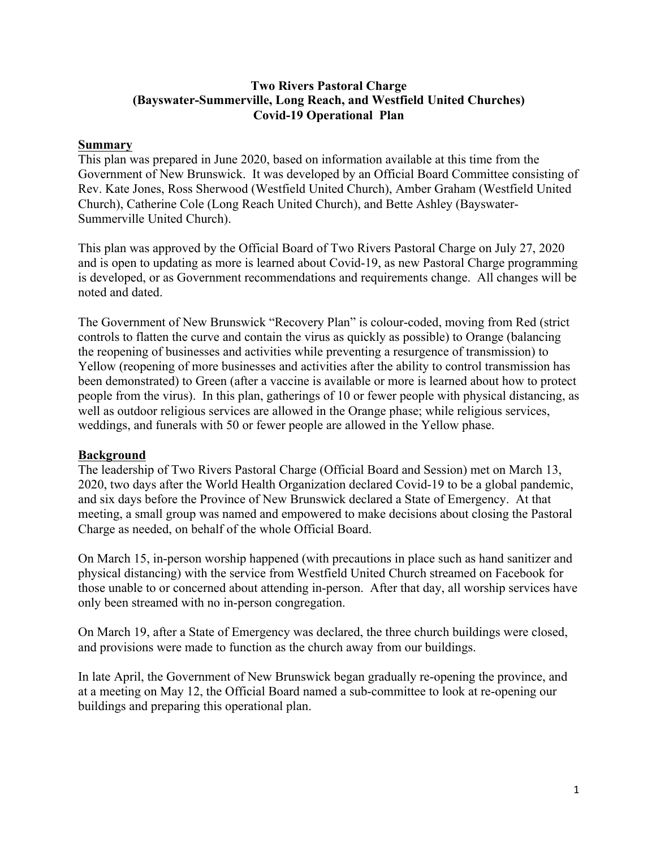#### **Two Rivers Pastoral Charge (Bayswater-Summerville, Long Reach, and Westfield United Churches) Covid-19 Operational Plan**

#### **Summary**

This plan was prepared in June 2020, based on information available at this time from the Government of New Brunswick. It was developed by an Official Board Committee consisting of Rev. Kate Jones, Ross Sherwood (Westfield United Church), Amber Graham (Westfield United Church), Catherine Cole (Long Reach United Church), and Bette Ashley (Bayswater-Summerville United Church).

This plan was approved by the Official Board of Two Rivers Pastoral Charge on July 27, 2020 and is open to updating as more is learned about Covid-19, as new Pastoral Charge programming is developed, or as Government recommendations and requirements change. All changes will be noted and dated.

The Government of New Brunswick "Recovery Plan" is colour-coded, moving from Red (strict controls to flatten the curve and contain the virus as quickly as possible) to Orange (balancing the reopening of businesses and activities while preventing a resurgence of transmission) to Yellow (reopening of more businesses and activities after the ability to control transmission has been demonstrated) to Green (after a vaccine is available or more is learned about how to protect people from the virus). In this plan, gatherings of 10 or fewer people with physical distancing, as well as outdoor religious services are allowed in the Orange phase; while religious services, weddings, and funerals with 50 or fewer people are allowed in the Yellow phase.

### **Background**

The leadership of Two Rivers Pastoral Charge (Official Board and Session) met on March 13, 2020, two days after the World Health Organization declared Covid-19 to be a global pandemic, and six days before the Province of New Brunswick declared a State of Emergency. At that meeting, a small group was named and empowered to make decisions about closing the Pastoral Charge as needed, on behalf of the whole Official Board.

On March 15, in-person worship happened (with precautions in place such as hand sanitizer and physical distancing) with the service from Westfield United Church streamed on Facebook for those unable to or concerned about attending in-person. After that day, all worship services have only been streamed with no in-person congregation.

On March 19, after a State of Emergency was declared, the three church buildings were closed, and provisions were made to function as the church away from our buildings.

In late April, the Government of New Brunswick began gradually re-opening the province, and at a meeting on May 12, the Official Board named a sub-committee to look at re-opening our buildings and preparing this operational plan.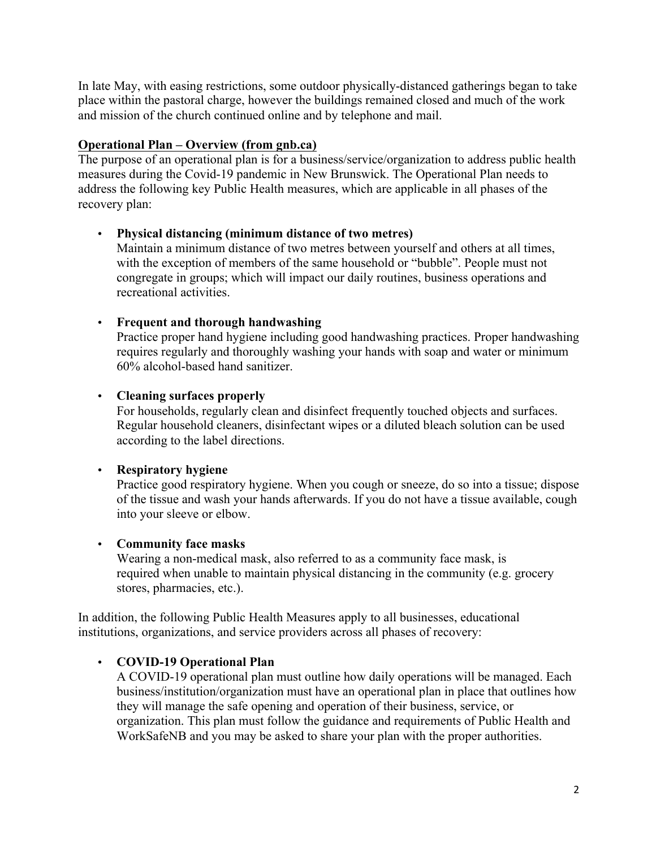In late May, with easing restrictions, some outdoor physically-distanced gatherings began to take place within the pastoral charge, however the buildings remained closed and much of the work and mission of the church continued online and by telephone and mail.

### **Operational Plan – Overview (from gnb.ca)**

The purpose of an operational plan is for a business/service/organization to address public health measures during the Covid-19 pandemic in New Brunswick. The Operational Plan needs to address the following key Public Health measures, which are applicable in all phases of the recovery plan:

## • **Physical distancing (minimum distance of two metres)**

Maintain a minimum distance of two metres between yourself and others at all times, with the exception of members of the same household or "bubble". People must not congregate in groups; which will impact our daily routines, business operations and recreational activities.

## • **Frequent and thorough handwashing**

Practice proper hand hygiene including good handwashing practices. Proper handwashing requires regularly and thoroughly washing your hands with soap and water or minimum 60% alcohol-based hand sanitizer.

## • **Cleaning surfaces properly**

For households, regularly clean and disinfect frequently touched objects and surfaces. Regular household cleaners, disinfectant wipes or a diluted bleach solution can be used according to the label directions.

# • **Respiratory hygiene**

Practice good respiratory hygiene. When you cough or sneeze, do so into a tissue; dispose of the tissue and wash your hands afterwards. If you do not have a tissue available, cough into your sleeve or elbow.

### • **Community face masks**

Wearing a non-medical mask, also referred to as a community face mask, is required when unable to maintain physical distancing in the community (e.g. grocery stores, pharmacies, etc.).

In addition, the following Public Health Measures apply to all businesses, educational institutions, organizations, and service providers across all phases of recovery:

# • **COVID-19 Operational Plan**

A COVID-19 operational plan must outline how daily operations will be managed. Each business/institution/organization must have an operational plan in place that outlines how they will manage the safe opening and operation of their business, service, or organization. This plan must follow the guidance and requirements of Public Health and WorkSafeNB and you may be asked to share your plan with the proper authorities.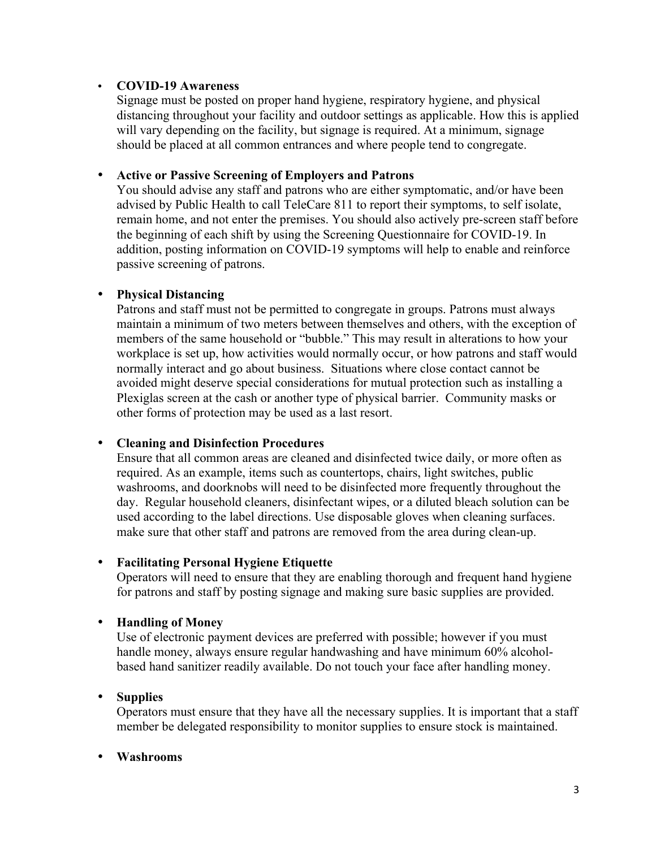#### • **COVID-19 Awareness**

Signage must be posted on proper hand hygiene, respiratory hygiene, and physical distancing throughout your facility and outdoor settings as applicable. How this is applied will vary depending on the facility, but signage is required. At a minimum, signage should be placed at all common entrances and where people tend to congregate.

#### • **Active or Passive Screening of Employers and Patrons**

You should advise any staff and patrons who are either symptomatic, and/or have been advised by Public Health to call TeleCare 811 to report their symptoms, to self isolate, remain home, and not enter the premises. You should also actively pre-screen staff before the beginning of each shift by using the Screening Questionnaire for COVID-19. In addition, posting information on COVID-19 symptoms will help to enable and reinforce passive screening of patrons.

### • **Physical Distancing**

Patrons and staff must not be permitted to congregate in groups. Patrons must always maintain a minimum of two meters between themselves and others, with the exception of members of the same household or "bubble." This may result in alterations to how your workplace is set up, how activities would normally occur, or how patrons and staff would normally interact and go about business. Situations where close contact cannot be avoided might deserve special considerations for mutual protection such as installing a Plexiglas screen at the cash or another type of physical barrier. Community masks or other forms of protection may be used as a last resort.

#### • **Cleaning and Disinfection Procedures**

Ensure that all common areas are cleaned and disinfected twice daily, or more often as required. As an example, items such as countertops, chairs, light switches, public washrooms, and doorknobs will need to be disinfected more frequently throughout the day. Regular household cleaners, disinfectant wipes, or a diluted bleach solution can be used according to the label directions. Use disposable gloves when cleaning surfaces. make sure that other staff and patrons are removed from the area during clean-up.

#### • **Facilitating Personal Hygiene Etiquette**

Operators will need to ensure that they are enabling thorough and frequent hand hygiene for patrons and staff by posting signage and making sure basic supplies are provided.

### • **Handling of Money**

Use of electronic payment devices are preferred with possible; however if you must handle money, always ensure regular handwashing and have minimum 60% alcoholbased hand sanitizer readily available. Do not touch your face after handling money.

### • **Supplies**

Operators must ensure that they have all the necessary supplies. It is important that a staff member be delegated responsibility to monitor supplies to ensure stock is maintained.

#### • **Washrooms**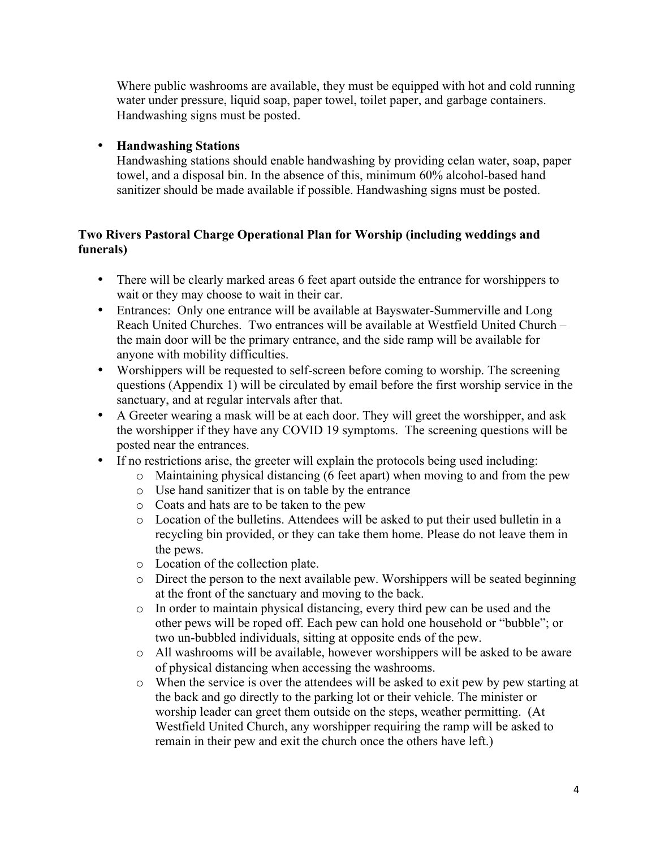Where public washrooms are available, they must be equipped with hot and cold running water under pressure, liquid soap, paper towel, toilet paper, and garbage containers. Handwashing signs must be posted.

### • **Handwashing Stations**

Handwashing stations should enable handwashing by providing celan water, soap, paper towel, and a disposal bin. In the absence of this, minimum 60% alcohol-based hand sanitizer should be made available if possible. Handwashing signs must be posted.

## **Two Rivers Pastoral Charge Operational Plan for Worship (including weddings and funerals)**

- There will be clearly marked areas 6 feet apart outside the entrance for worshippers to wait or they may choose to wait in their car.
- Entrances: Only one entrance will be available at Bayswater-Summerville and Long Reach United Churches. Two entrances will be available at Westfield United Church – the main door will be the primary entrance, and the side ramp will be available for anyone with mobility difficulties.
- Worshippers will be requested to self-screen before coming to worship. The screening questions (Appendix 1) will be circulated by email before the first worship service in the sanctuary, and at regular intervals after that.
- A Greeter wearing a mask will be at each door. They will greet the worshipper, and ask the worshipper if they have any COVID 19 symptoms. The screening questions will be posted near the entrances.
- If no restrictions arise, the greeter will explain the protocols being used including:
	- o Maintaining physical distancing (6 feet apart) when moving to and from the pew
	- o Use hand sanitizer that is on table by the entrance
	- o Coats and hats are to be taken to the pew
	- o Location of the bulletins. Attendees will be asked to put their used bulletin in a recycling bin provided, or they can take them home. Please do not leave them in the pews.
	- o Location of the collection plate.
	- o Direct the person to the next available pew. Worshippers will be seated beginning at the front of the sanctuary and moving to the back.
	- o In order to maintain physical distancing, every third pew can be used and the other pews will be roped off. Each pew can hold one household or "bubble"; or two un-bubbled individuals, sitting at opposite ends of the pew.
	- o All washrooms will be available, however worshippers will be asked to be aware of physical distancing when accessing the washrooms.
	- o When the service is over the attendees will be asked to exit pew by pew starting at the back and go directly to the parking lot or their vehicle. The minister or worship leader can greet them outside on the steps, weather permitting. (At Westfield United Church, any worshipper requiring the ramp will be asked to remain in their pew and exit the church once the others have left.)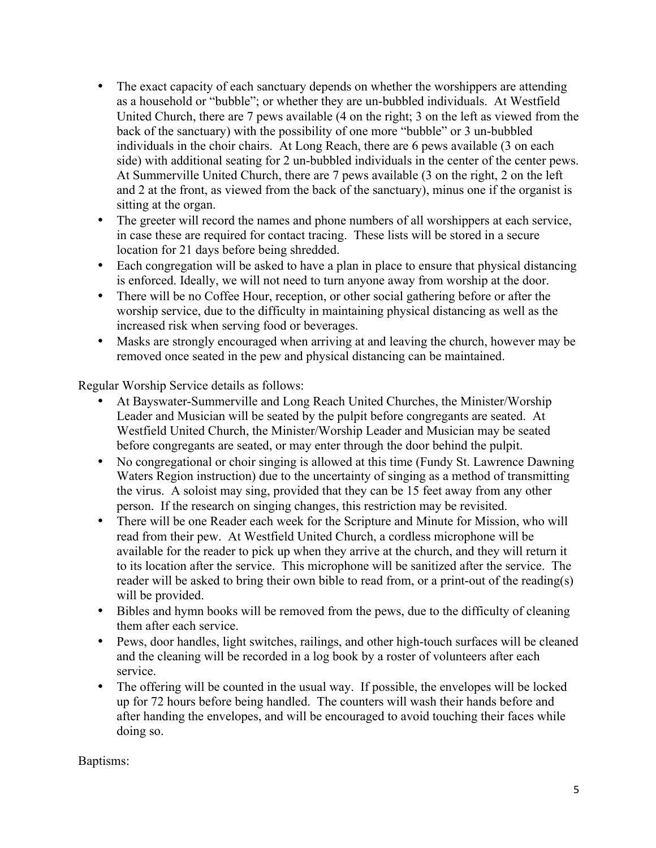- The exact capacity of each sanctuary depends on whether the worshippers are attending as a household or "bubble"; or whether they are un-bubbled individuals. At Westfield United Church, there are 7 pews available (4 on the right; 3 on the left as viewed from the back of the sanctuary) with the possibility of one more "bubble" or 3 un-bubbled individuals in the choir chairs. At Long Reach, there are 6 pews available (3 on each side) with additional seating for 2 un-bubbled individuals in the center of the center pews. At Summerville United Church, there are 7 pews available (3 on the right, 2 on the left and 2 at the front, as viewed from the back of the sanctuary), minus one if the organist is sitting at the organ.
- The greeter will record the names and phone numbers of all worshippers at each service, in case these are required for contact tracing. These lists will be stored in a secure location for 21 days before being shredded.
- Each congregation will be asked to have a plan in place to ensure that physical distancing is enforced. Ideally, we will not need to turn anyone away from worship at the door.
- There will be no Coffee Hour, reception, or other social gathering before or after the worship service, due to the difficulty in maintaining physical distancing as well as the increased risk when serving food or beverages.
- Masks are strongly encouraged when arriving at and leaving the church, however may be removed once seated in the pew and physical distancing can be maintained.

Regular Worship Service details as follows:

- At Bayswater-Summerville and Long Reach United Churches, the Minister/Worship Leader and Musician will be seated by the pulpit before congregants are seated. At Westfield United Church, the Minister/Worship Leader and Musician may be seated before congregants are seated, or may enter through the door behind the pulpit.
- No congregational or choir singing is allowed at this time (Fundy St. Lawrence Dawning Waters Region instruction) due to the uncertainty of singing as a method of transmitting the virus. A soloist may sing, provided that they can be 15 feet away from any other person. If the research on singing changes, this restriction may be revisited.
- There will be one Reader each week for the Scripture and Minute for Mission, who will read from their pew. At Westfield United Church, a cordless microphone will be available for the reader to pick up when they arrive at the church, and they will return it to its location after the service. This microphone will be sanitized after the service. The reader will be asked to bring their own bible to read from, or a print-out of the reading(s) will be provided.
- Bibles and hymn books will be removed from the pews, due to the difficulty of cleaning them after each service.
- Pews, door handles, light switches, railings, and other high-touch surfaces will be cleaned and the cleaning will be recorded in a log book by a roster of volunteers after each service.
- The offering will be counted in the usual way. If possible, the envelopes will be locked up for 72 hours before being handled. The counters will wash their hands before and after handing the envelopes, and will be encouraged to avoid touching their faces while doing so.

### Baptisms: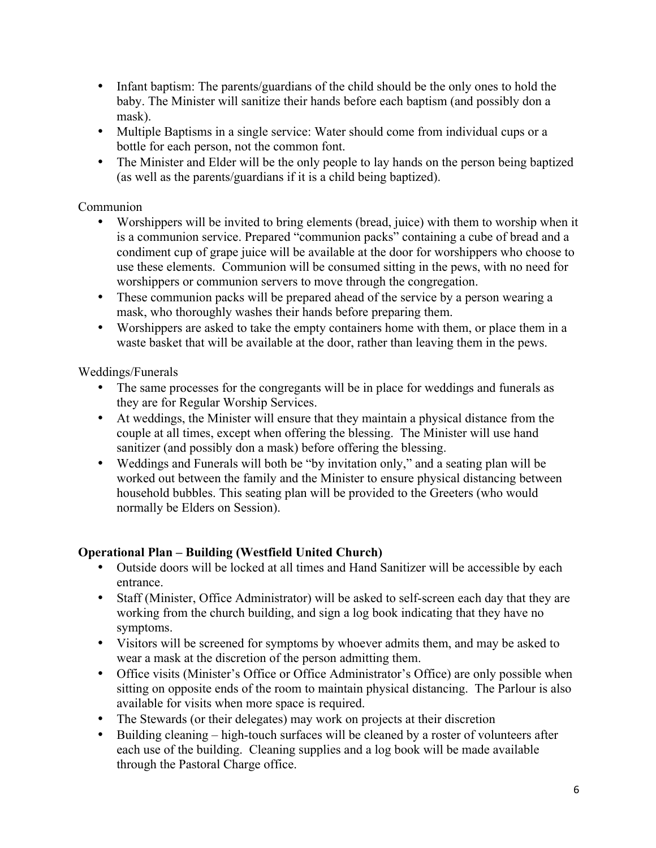- Infant baptism: The parents/guardians of the child should be the only ones to hold the baby. The Minister will sanitize their hands before each baptism (and possibly don a mask).
- Multiple Baptisms in a single service: Water should come from individual cups or a bottle for each person, not the common font.
- The Minister and Elder will be the only people to lay hands on the person being baptized (as well as the parents/guardians if it is a child being baptized).

## Communion

- Worshippers will be invited to bring elements (bread, juice) with them to worship when it is a communion service. Prepared "communion packs" containing a cube of bread and a condiment cup of grape juice will be available at the door for worshippers who choose to use these elements. Communion will be consumed sitting in the pews, with no need for worshippers or communion servers to move through the congregation.
- These communion packs will be prepared ahead of the service by a person wearing a mask, who thoroughly washes their hands before preparing them.
- Worshippers are asked to take the empty containers home with them, or place them in a waste basket that will be available at the door, rather than leaving them in the pews.

# Weddings/Funerals

- The same processes for the congregants will be in place for weddings and funerals as they are for Regular Worship Services.
- At weddings, the Minister will ensure that they maintain a physical distance from the couple at all times, except when offering the blessing. The Minister will use hand sanitizer (and possibly don a mask) before offering the blessing.
- Weddings and Funerals will both be "by invitation only," and a seating plan will be worked out between the family and the Minister to ensure physical distancing between household bubbles. This seating plan will be provided to the Greeters (who would normally be Elders on Session).

# **Operational Plan – Building (Westfield United Church)**

- Outside doors will be locked at all times and Hand Sanitizer will be accessible by each entrance.
- Staff (Minister, Office Administrator) will be asked to self-screen each day that they are working from the church building, and sign a log book indicating that they have no symptoms.
- Visitors will be screened for symptoms by whoever admits them, and may be asked to wear a mask at the discretion of the person admitting them.
- Office visits (Minister's Office or Office Administrator's Office) are only possible when sitting on opposite ends of the room to maintain physical distancing. The Parlour is also available for visits when more space is required.
- The Stewards (or their delegates) may work on projects at their discretion
- Building cleaning high-touch surfaces will be cleaned by a roster of volunteers after each use of the building. Cleaning supplies and a log book will be made available through the Pastoral Charge office.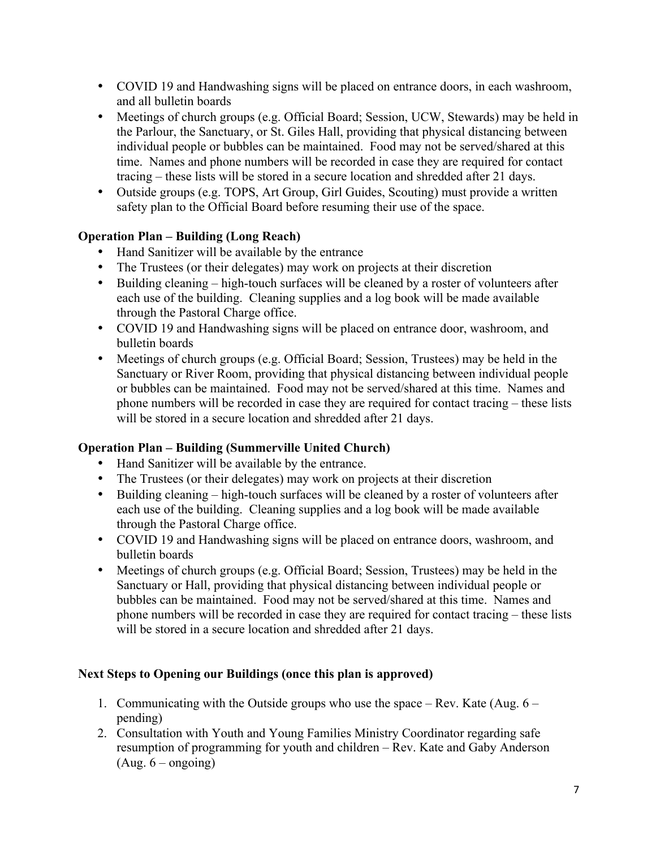- COVID 19 and Handwashing signs will be placed on entrance doors, in each washroom, and all bulletin boards
- Meetings of church groups (e.g. Official Board; Session, UCW, Stewards) may be held in the Parlour, the Sanctuary, or St. Giles Hall, providing that physical distancing between individual people or bubbles can be maintained. Food may not be served/shared at this time. Names and phone numbers will be recorded in case they are required for contact tracing – these lists will be stored in a secure location and shredded after 21 days.
- Outside groups (e.g. TOPS, Art Group, Girl Guides, Scouting) must provide a written safety plan to the Official Board before resuming their use of the space.

## **Operation Plan – Building (Long Reach)**

- Hand Sanitizer will be available by the entrance
- The Trustees (or their delegates) may work on projects at their discretion
- Building cleaning high-touch surfaces will be cleaned by a roster of volunteers after each use of the building. Cleaning supplies and a log book will be made available through the Pastoral Charge office.
- COVID 19 and Handwashing signs will be placed on entrance door, washroom, and bulletin boards
- Meetings of church groups (e.g. Official Board; Session, Trustees) may be held in the Sanctuary or River Room, providing that physical distancing between individual people or bubbles can be maintained. Food may not be served/shared at this time. Names and phone numbers will be recorded in case they are required for contact tracing – these lists will be stored in a secure location and shredded after 21 days.

# **Operation Plan – Building (Summerville United Church)**

- Hand Sanitizer will be available by the entrance.
- The Trustees (or their delegates) may work on projects at their discretion
- Building cleaning high-touch surfaces will be cleaned by a roster of volunteers after each use of the building. Cleaning supplies and a log book will be made available through the Pastoral Charge office.
- COVID 19 and Handwashing signs will be placed on entrance doors, washroom, and bulletin boards
- Meetings of church groups (e.g. Official Board; Session, Trustees) may be held in the Sanctuary or Hall, providing that physical distancing between individual people or bubbles can be maintained. Food may not be served/shared at this time. Names and phone numbers will be recorded in case they are required for contact tracing – these lists will be stored in a secure location and shredded after 21 days.

# **Next Steps to Opening our Buildings (once this plan is approved)**

- 1. Communicating with the Outside groups who use the space Rev. Kate (Aug.  $6$ pending)
- 2. Consultation with Youth and Young Families Ministry Coordinator regarding safe resumption of programming for youth and children – Rev. Kate and Gaby Anderson  $(Aug. 6 - ongoing)$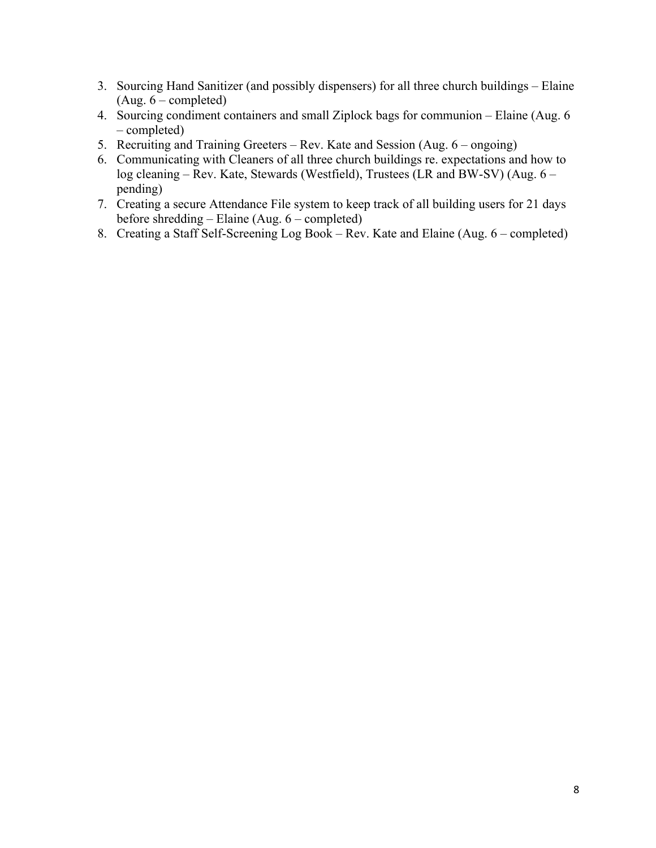- 3. Sourcing Hand Sanitizer (and possibly dispensers) for all three church buildings Elaine (Aug. 6 – completed)
- 4. Sourcing condiment containers and small Ziplock bags for communion Elaine (Aug. 6 – completed)
- 5. Recruiting and Training Greeters Rev. Kate and Session (Aug. 6 ongoing)
- 6. Communicating with Cleaners of all three church buildings re. expectations and how to log cleaning – Rev. Kate, Stewards (Westfield), Trustees (LR and BW-SV) (Aug. 6 – pending)
- 7. Creating a secure Attendance File system to keep track of all building users for 21 days before shredding – Elaine (Aug. 6 – completed)
- 8. Creating a Staff Self-Screening Log Book Rev. Kate and Elaine (Aug. 6 completed)